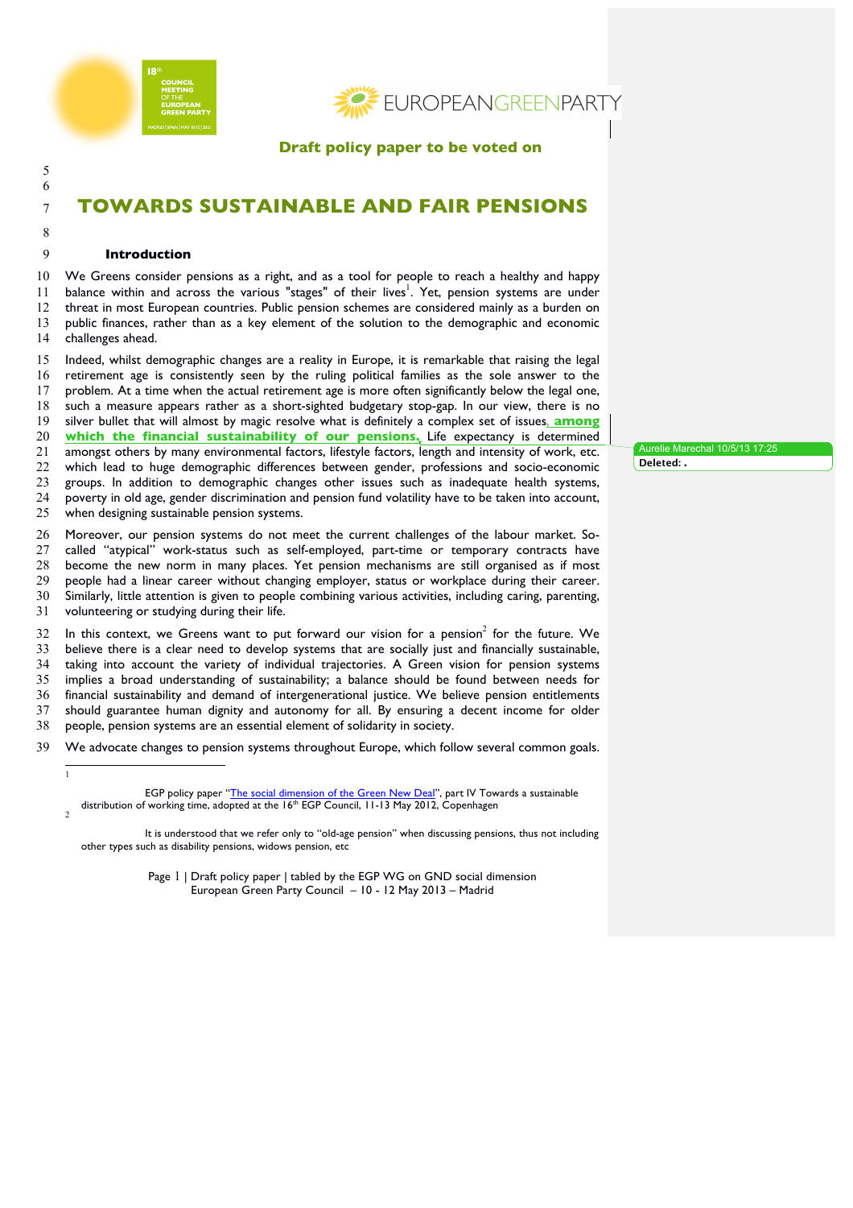

**EUROPEANGREENPARTY** 

**Draft policy paper to be voted on** 

# **TOWARDS SUSTAINABLE AND FAIR PENSIONS**

 

## **Introduction**

 We Greens consider pensions as a right, and as a tool for people to reach a healthy and happy 11 balance within and across the various "stages" of their lives<sup>1</sup>. Yet, pension systems are under threat in most European countries. Public pension schemes are considered mainly as a burden on public finances, rather than as a key element of the solution to the demographic and economic challenges ahead.

 Indeed, whilst demographic changes are a reality in Europe, it is remarkable that raising the legal retirement age is consistently seen by the ruling political families as the sole answer to the problem. At a time when the actual retirement age is more often significantly below the legal one, such a measure appears rather as a short-sighted budgetary stop-gap. In our view, there is no silver bullet that will almost by magic resolve what is definitely a complex set of issues, **among which the financial sustainability of our pensions.** Life expectancy is determined amongst others by many environmental factors, lifestyle factors, length and intensity of work, etc. which lead to huge demographic differences between gender, professions and socio-economic groups. In addition to demographic changes other issues such as inadequate health systems, poverty in old age, gender discrimination and pension fund volatility have to be taken into account, when designing sustainable pension systems.

 Moreover, our pension systems do not meet the current challenges of the labour market. So- called "atypical" work-status such as self-employed, part-time or temporary contracts have become the new norm in many places. Yet pension mechanisms are still organised as if most people had a linear career without changing employer, status or workplace during their career. Similarly, little attention is given to people combining various activities, including caring, parenting, volunteering or studying during their life.

 In this context, we Greens want to put forward our vision for a pension<sup>2</sup> for the future. We believe there is a clear need to develop systems that are socially just and financially sustainable, taking into account the variety of individual trajectories. A Green vision for pension systems implies a broad understanding of sustainability; a balance should be found between needs for financial sustainability and demand of intergenerational justice. We believe pension entitlements should guarantee human dignity and autonomy for all. By ensuring a decent income for older people, pension systems are an essential element of solidarity in society.

We advocate changes to pension systems throughout Europe, which follow several common goals.

 It is understood that we refer only to "old-age pension" when discussing pensions, thus not including other types such as disability pensions, widows pension, etc

> Page 1 | Draft policy paper | tabled by the EGP WG on GND social dimension European Green Party Council – 10 - 12 May 2013 – Madrid

Aurelie Marechal 10/5/13 17:25 **Deleted: .**

EGP policy paper "The social dimension of the Green New Deal", part IV Towards a sustainable distribution of working time, adopted at the  $16<sup>th</sup>$  EGP Council, 11-13 May 2012, Copenhagen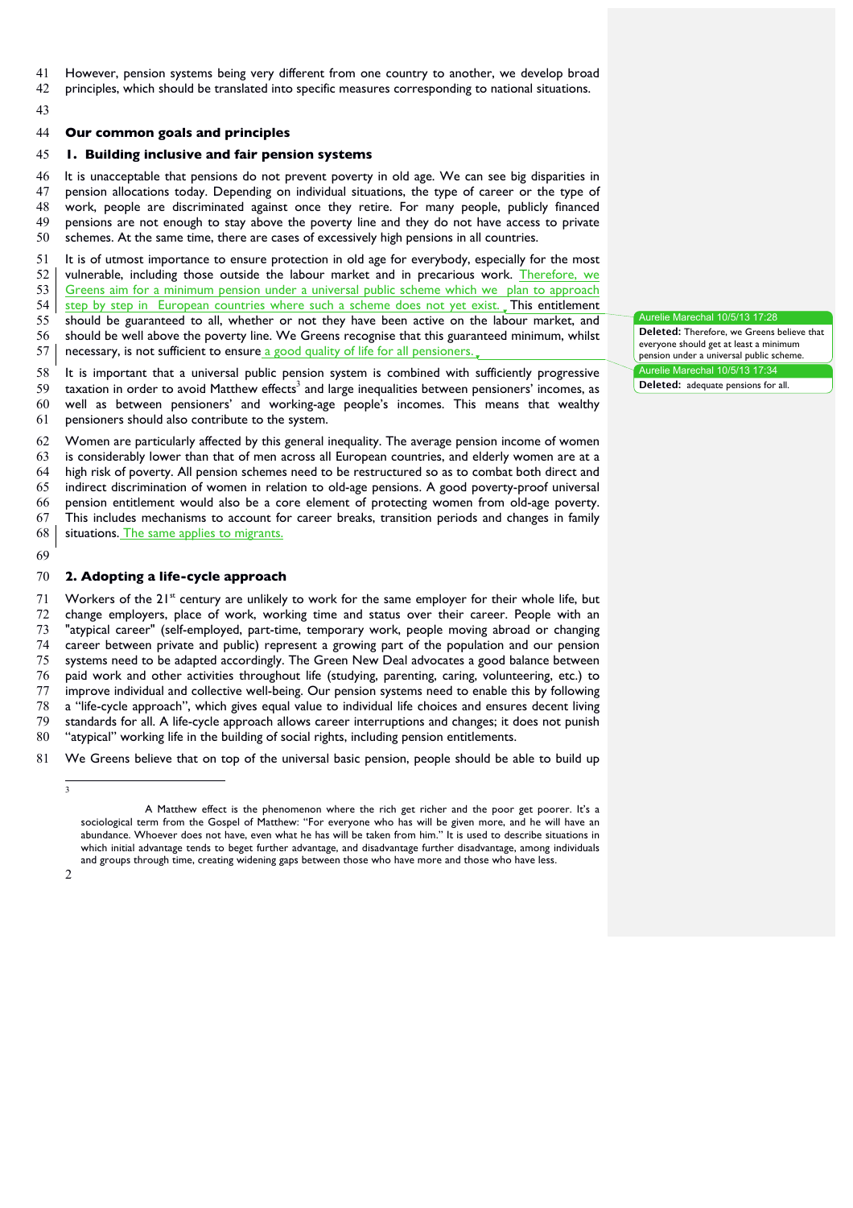- However, pension systems being very different from one country to another, we develop broad
- principles, which should be translated into specific measures corresponding to national situations.
- 

#### **Our common goals and principles**

#### **1. Building inclusive and fair pension systems**

 It is unacceptable that pensions do not prevent poverty in old age. We can see big disparities in pension allocations today. Depending on individual situations, the type of career or the type of work, people are discriminated against once they retire. For many people, publicly financed pensions are not enough to stay above the poverty line and they do not have access to private schemes. At the same time, there are cases of excessively high pensions in all countries.

 It is of utmost importance to ensure protection in old age for everybody, especially for the most 52 vulnerable, including those outside the labour market and in precarious work. Therefore, we 53 Greens aim for a minimum pension under a universal public scheme which we plan to approach 54 step by step in European countries where such a scheme does not yet exist. This entitlement should be guaranteed to all, whether or not they have been active on the labour market, and should be well above the poverty line. We Greens recognise that this guaranteed minimum, whilst 57 | necessary, is not sufficient to ensure a good quality of life for all pensioners.

Aurelie Marechal 10/5/13 17:28 **Deleted:** Therefore, we Greens believe that everyone should get at least a minimum pension under a universal public scheme. Aurelie Marechal 10/5/13 17:34

**Deleted:** adequate pensions for all.

 It is important that a universal public pension system is combined with sufficiently progressive taxation in order to avoid Matthew effects<sup>3</sup> and large inequalities between pensioners' incomes, as well as between pensioners' and working-age people's incomes. This means that wealthy pensioners should also contribute to the system.

 Women are particularly affected by this general inequality. The average pension income of women is considerably lower than that of men across all European countries, and elderly women are at a high risk of poverty. All pension schemes need to be restructured so as to combat both direct and indirect discrimination of women in relation to old-age pensions. A good poverty-proof universal pension entitlement would also be a core element of protecting women from old-age poverty. This includes mechanisms to account for career breaks, transition periods and changes in family 68 situations. The same applies to migrants.

#### **2. Adopting a life-cycle approach**

 Workers of the  $21^{st}$  century are unlikely to work for the same employer for their whole life, but change employers, place of work, working time and status over their career. People with an "atypical career" (self-employed, part-time, temporary work, people moving abroad or changing career between private and public) represent a growing part of the population and our pension systems need to be adapted accordingly. The Green New Deal advocates a good balance between paid work and other activities throughout life (studying, parenting, caring, volunteering, etc.) to improve individual and collective well-being. Our pension systems need to enable this by following a "life-cycle approach", which gives equal value to individual life choices and ensures decent living standards for all. A life-cycle approach allows career interruptions and changes; it does not punish "atypical" working life in the building of social rights, including pension entitlements.

We Greens believe that on top of the universal basic pension, people should be able to build up

A Matthew effect is the phenomenon where the rich get richer and the poor get poorer. It's a sociological term from the Gospel of Matthew: "For everyone who has will be given more, and he will have an abundance. Whoever does not have, even what he has will be taken from him." It is used to describe situations in which initial advantage tends to beget further advantage, and disadvantage further disadvantage, among individuals and groups through time, creating widening gaps between those who have more and those who have less.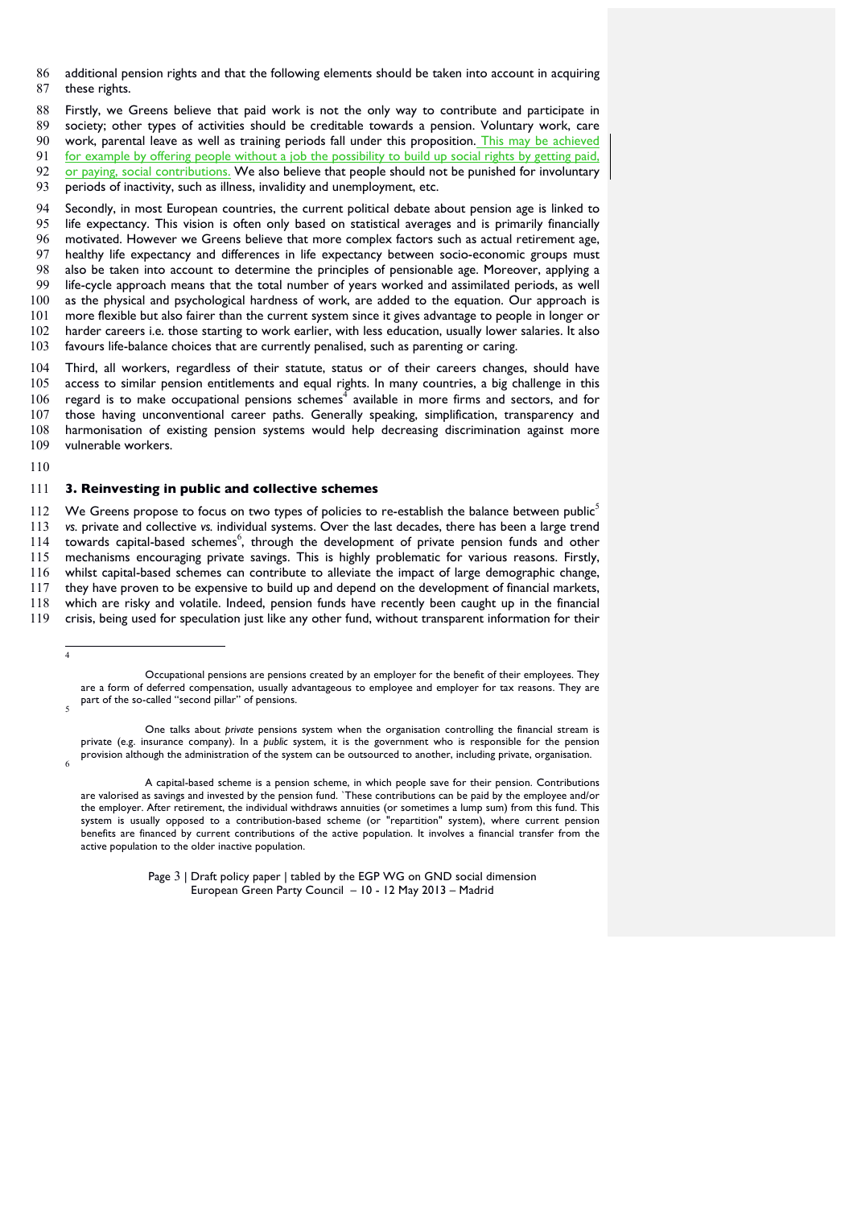- 86 additional pension rights and that the following elements should be taken into account in acquiring 87 these rights.
- 88 Firstly, we Greens believe that paid work is not the only way to contribute and participate in 89 society; other types of activities should be creditable towards a pension. Voluntary work, care

90 work, parental leave as well as training periods fall under this proposition. This may be achieved

91 for example by offering people without a job the possibility to build up social rights by getting paid,

92 or paying, social contributions. We also believe that people should not be punished for involuntary

93 periods of inactivity, such as illness, invalidity and unemployment, etc.

 Secondly, in most European countries, the current political debate about pension age is linked to life expectancy. This vision is often only based on statistical averages and is primarily financially motivated. However we Greens believe that more complex factors such as actual retirement age, healthy life expectancy and differences in life expectancy between socio-economic groups must also be taken into account to determine the principles of pensionable age. Moreover, applying a life-cycle approach means that the total number of years worked and assimilated periods, as well 100 as the physical and psychological hardness of work, are added to the equation. Our approach is more flexible but also fairer than the current system since it gives advantage to people in longer or harder careers i.e. those starting to work earlier, with less education, usually lower salaries. It also favours life-balance choices that are currently penalised, such as parenting or caring.

104 Third, all workers, regardless of their statute, status or of their careers changes, should have<br>105 access to similar pension entitlements and equal rights. In many countries, a big challenge in this access to similar pension entitlements and equal rights. In many countries, a big challenge in this regard is to make occupational pensions schemes<sup>4</sup> available in more firms and sectors, and for those having unconventional career paths. Generally speaking, simplification, transparency and harmonisation of existing pension systems would help decreasing discrimination against more vulnerable workers.

110

4

#### 111 **3. Reinvesting in public and collective schemes**

112 We Greens propose to focus on two types of policies to re-establish the balance between public<sup>5</sup> *vs.* private and collective *vs.* individual systems. Over the last decades, there has been a large trend towards capital-based schemes<sup>6</sup>, through the development of private pension funds and other mechanisms encouraging private savings. This is highly problematic for various reasons. Firstly, whilst capital-based schemes can contribute to alleviate the impact of large demographic change, they have proven to be expensive to build up and depend on the development of financial markets, which are risky and volatile. Indeed, pension funds have recently been caught up in the financial crisis, being used for speculation just like any other fund, without transparent information for their

Page 3 | Draft policy paper | tabled by the EGP WG on GND social dimension European Green Party Council – 10 - 12 May 2013 – Madrid

Occupational pensions are pensions created by an employer for the benefit of their employees. They are a form of deferred compensation, usually advantageous to employee and employer for tax reasons. They are part of the so-called "second pillar" of pensions.

One talks about *private* pensions system when the organisation controlling the financial stream is private (e.g. insurance company). In a *public* system, it is the government who is responsible for the pension provision although the administration of the system can be outsourced to another, including private, organisation.

A capital-based scheme is a pension scheme, in which people save for their pension. Contributions are valorised as savings and invested by the pension fund. `These contributions can be paid by the employee and/or the employer. After retirement, the individual withdraws annuities (or sometimes a lump sum) from this fund. This system is usually opposed to a contribution-based scheme (or "repartition" system), where current pension benefits are financed by current contributions of the active population. It involves a financial transfer from the active population to the older inactive population.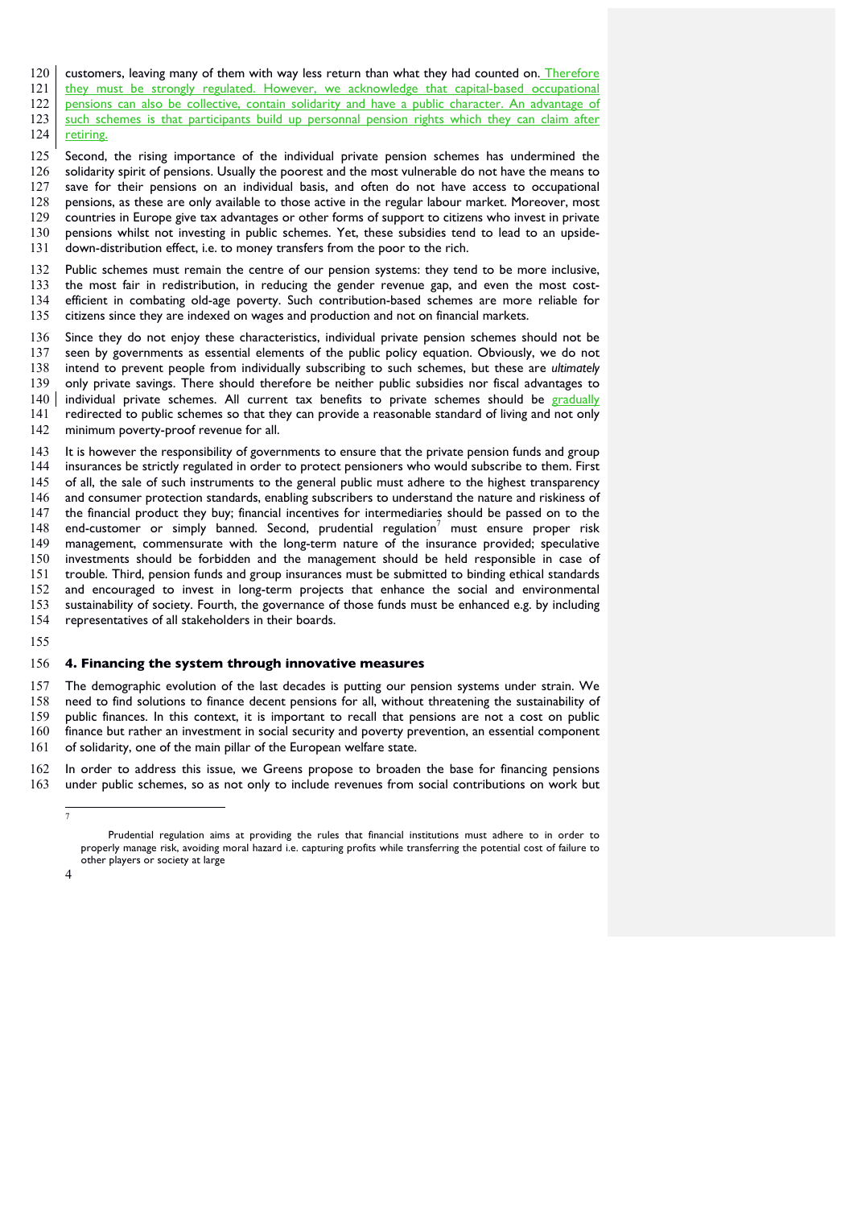- customers, leaving many of them with way less return than what they had counted on. Therefore
- they must be strongly regulated. However, we acknowledge that capital-based occupational pensions can also be collective, contain solidarity and have a public character. An advantage of 123 such schemes is that participants build up personnal pension rights which they can claim after 124 retiring.
- Second, the rising importance of the individual private pension schemes has undermined the solidarity spirit of pensions. Usually the poorest and the most vulnerable do not have the means to save for their pensions on an individual basis, and often do not have access to occupational pensions, as these are only available to those active in the regular labour market. Moreover, most countries in Europe give tax advantages or other forms of support to citizens who invest in private pensions whilst not investing in public schemes. Yet, these subsidies tend to lead to an upside-down-distribution effect, i.e. to money transfers from the poor to the rich.
- Public schemes must remain the centre of our pension systems: they tend to be more inclusive, the most fair in redistribution, in reducing the gender revenue gap, and even the most cost- efficient in combating old-age poverty. Such contribution-based schemes are more reliable for citizens since they are indexed on wages and production and not on financial markets.
- Since they do not enjoy these characteristics, individual private pension schemes should not be seen by governments as essential elements of the public policy equation. Obviously, we do not intend to prevent people from individually subscribing to such schemes, but these are *ultimately*  only private savings. There should therefore be neither public subsidies nor fiscal advantages to individual private schemes. All current tax benefits to private schemes should be gradually redirected to public schemes so that they can provide a reasonable standard of living and not only minimum poverty-proof revenue for all.
- It is however the responsibility of governments to ensure that the private pension funds and group insurances be strictly regulated in order to protect pensioners who would subscribe to them. First of all, the sale of such instruments to the general public must adhere to the highest transparency and consumer protection standards, enabling subscribers to understand the nature and riskiness of the financial product they buy; financial incentives for intermediaries should be passed on to the 148 end-customer or simply banned. Second, prudential regulation must ensure proper risk management, commensurate with the long-term nature of the insurance provided; speculative investments should be forbidden and the management should be held responsible in case of trouble. Third, pension funds and group insurances must be submitted to binding ethical standards and encouraged to invest in long-term projects that enhance the social and environmental sustainability of society. Fourth, the governance of those funds must be enhanced e.g. by including representatives of all stakeholders in their boards.
- 

#### **4. Financing the system through innovative measures**

 The demographic evolution of the last decades is putting our pension systems under strain. We need to find solutions to finance decent pensions for all, without threatening the sustainability of public finances. In this context, it is important to recall that pensions are not a cost on public finance but rather an investment in social security and poverty prevention, an essential component of solidarity, one of the main pillar of the European welfare state.

 In order to address this issue, we Greens propose to broaden the base for financing pensions under public schemes, so as not only to include revenues from social contributions on work but

Prudential regulation aims at providing the rules that financial institutions must adhere to in order to properly manage risk, avoiding moral hazard i.e. capturing profits while transferring the potential cost of failure to other players or society at large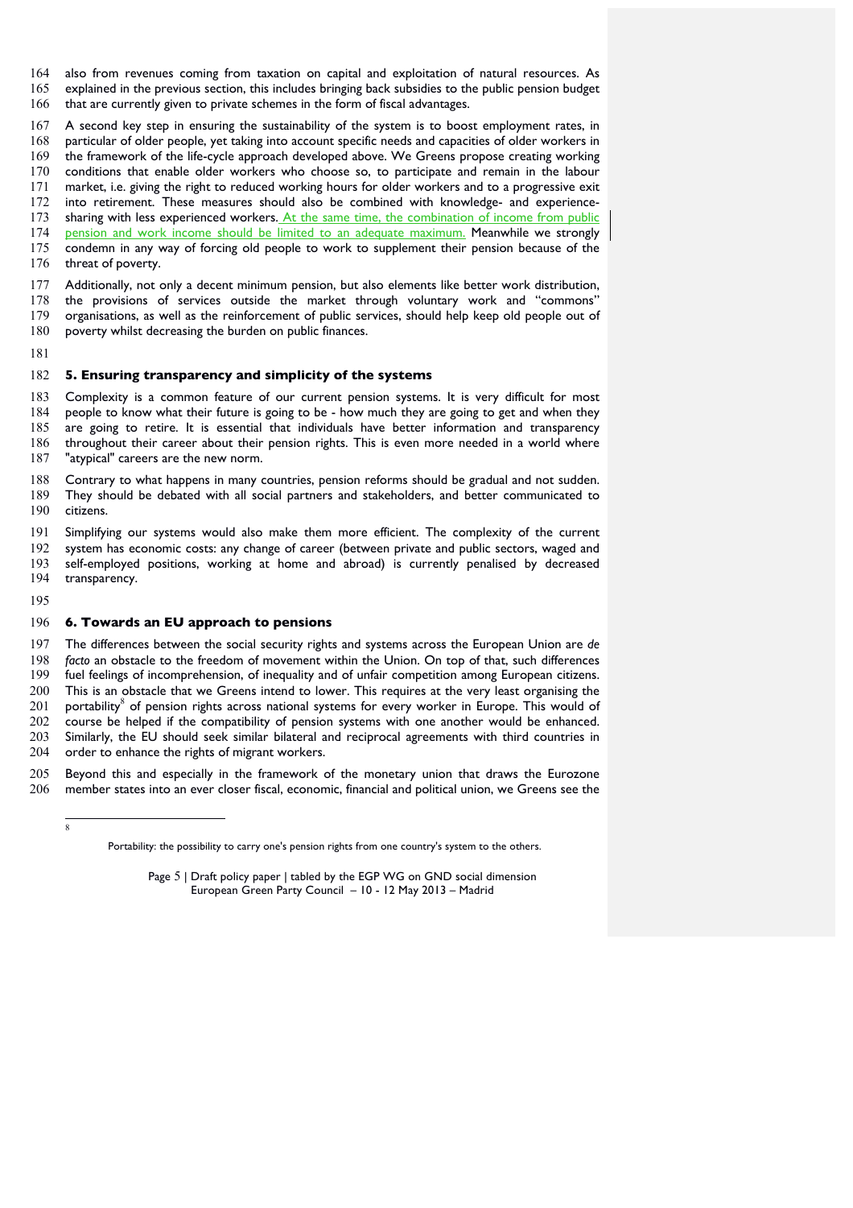also from revenues coming from taxation on capital and exploitation of natural resources. As explained in the previous section, this includes bringing back subsidies to the public pension budget that are currently given to private schemes in the form of fiscal advantages.

 A second key step in ensuring the sustainability of the system is to boost employment rates, in particular of older people, yet taking into account specific needs and capacities of older workers in the framework of the life-cycle approach developed above. We Greens propose creating working conditions that enable older workers who choose so, to participate and remain in the labour market, i.e. giving the right to reduced working hours for older workers and to a progressive exit into retirement. These measures should also be combined with knowledge- and experience-173 sharing with less experienced workers. At the same time, the combination of income from public 174 pension and work income should be limited to an adequate maximum. Meanwhile we strongly condemn in any way of forcing old people to work to supplement their pension because of the 176 threat of poverty.

 Additionally, not only a decent minimum pension, but also elements like better work distribution, the provisions of services outside the market through voluntary work and "commons" organisations, as well as the reinforcement of public services, should help keep old people out of poverty whilst decreasing the burden on public finances.

### **5. Ensuring transparency and simplicity of the systems**

 Complexity is a common feature of our current pension systems. It is very difficult for most people to know what their future is going to be - how much they are going to get and when they are going to retire. It is essential that individuals have better information and transparency throughout their career about their pension rights. This is even more needed in a world where "atypical" careers are the new norm.

 Contrary to what happens in many countries, pension reforms should be gradual and not sudden. They should be debated with all social partners and stakeholders, and better communicated to citizens.

 Simplifying our systems would also make them more efficient. The complexity of the current system has economic costs: any change of career (between private and public sectors, waged and self-employed positions, working at home and abroad) is currently penalised by decreased transparency.

#### **6. Towards an EU approach to pensions**

 The differences between the social security rights and systems across the European Union are *de facto* an obstacle to the freedom of movement within the Union. On top of that, such differences fuel feelings of incomprehension, of inequality and of unfair competition among European citizens. This is an obstacle that we Greens intend to lower. This requires at the very least organising the portability<sup>8</sup> of pension rights across national systems for every worker in Europe. This would of course be helped if the compatibility of pension systems with one another would be enhanced. Similarly, the EU should seek similar bilateral and reciprocal agreements with third countries in order to enhance the rights of migrant workers.

 Beyond this and especially in the framework of the monetary union that draws the Eurozone member states into an ever closer fiscal, economic, financial and political union, we Greens see the

Portability: the possibility to carry one's pension rights from one country's system to the others.

Page 5 | Draft policy paper | tabled by the EGP WG on GND social dimension European Green Party Council – 10 - 12 May 2013 – Madrid